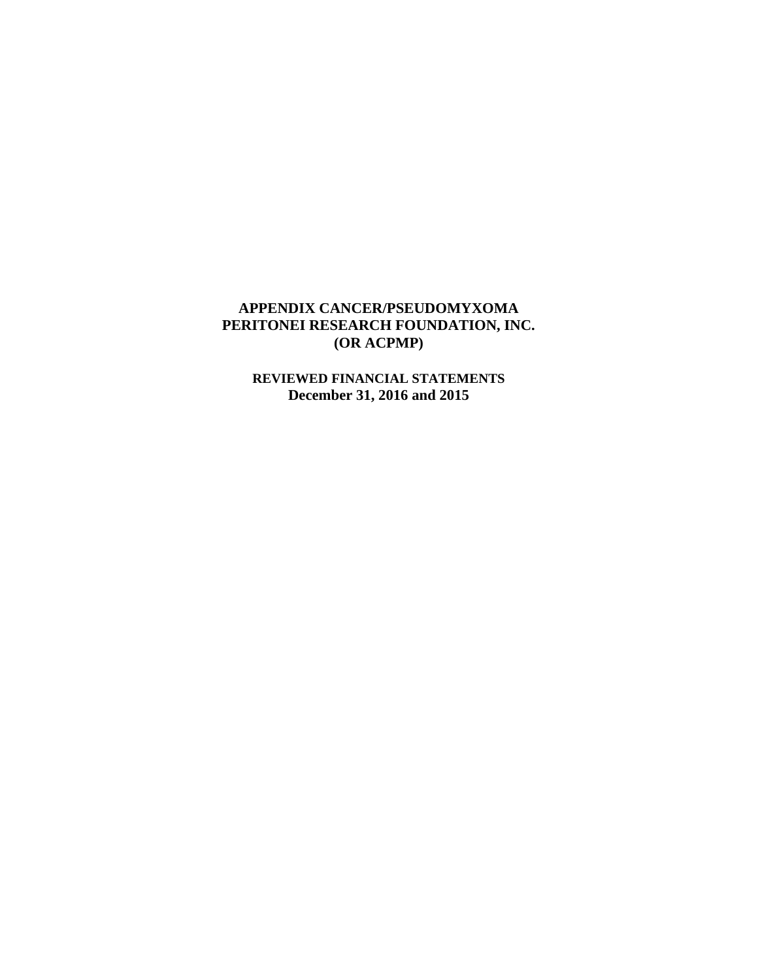**REVIEWED FINANCIAL STATEMENTS December 31, 2016 and 2015**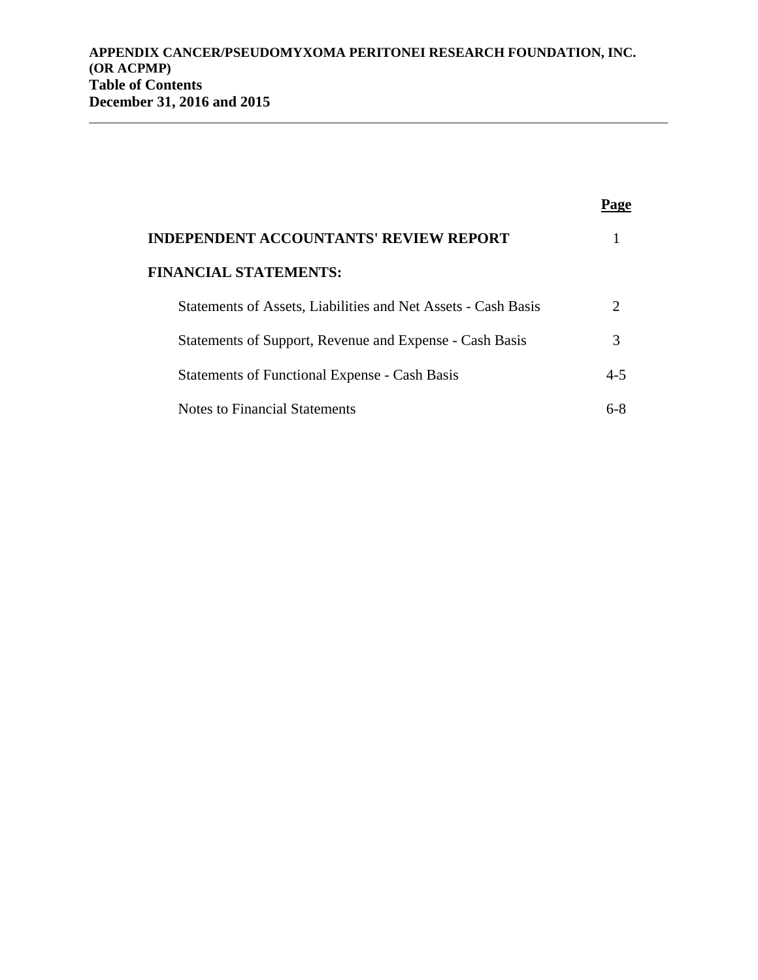| <b>INDEPENDENT ACCOUNTANTS' REVIEW REPORT</b>                 |                             |
|---------------------------------------------------------------|-----------------------------|
| <b>FINANCIAL STATEMENTS:</b>                                  |                             |
| Statements of Assets, Liabilities and Net Assets - Cash Basis | $\mathcal{D}_{\mathcal{L}}$ |
| Statements of Support, Revenue and Expense - Cash Basis       | 3                           |
| <b>Statements of Functional Expense - Cash Basis</b>          | $4 - 5$                     |
| Notes to Financial Statements                                 | ና-8                         |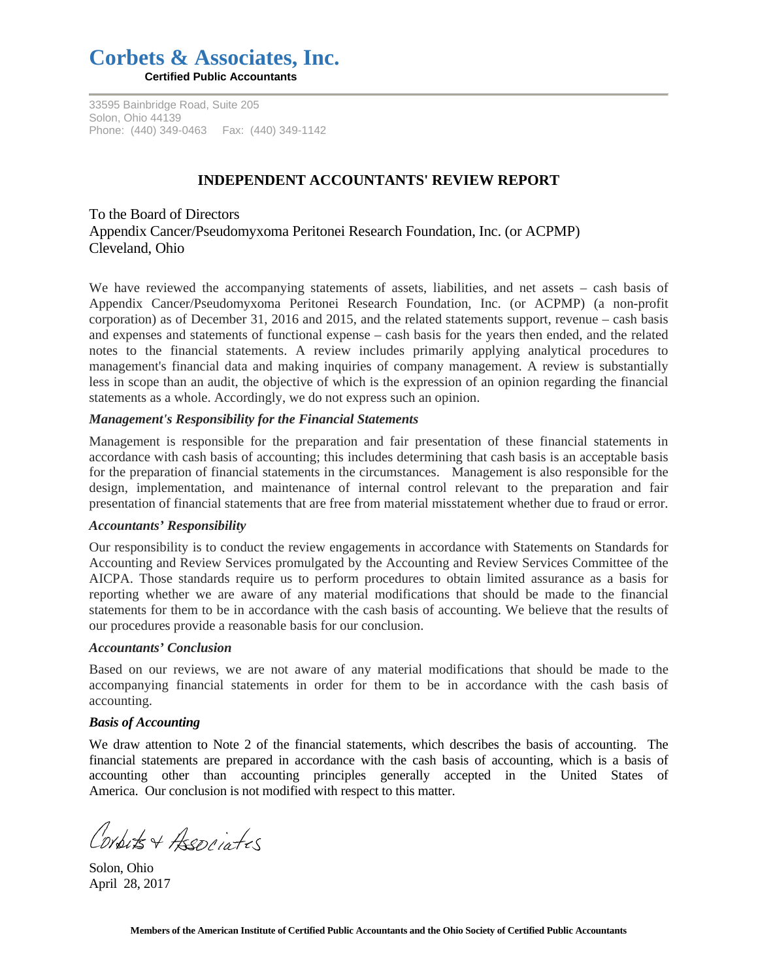# **Corbets & Associates, Inc.**

**Certified Public Accountants**

33595 Bainbridge Road, Suite 205 Solon, Ohio 44139 Phone: (440) 349-0463 Fax: (440) 349-1142

# **INDEPENDENT ACCOUNTANTS' REVIEW REPORT**

To the Board of Directors Appendix Cancer/Pseudomyxoma Peritonei Research Foundation, Inc. (or ACPMP) Cleveland, Ohio

We have reviewed the accompanying statements of assets, liabilities, and net assets – cash basis of Appendix Cancer/Pseudomyxoma Peritonei Research Foundation, Inc. (or ACPMP) (a non-profit corporation) as of December 31, 2016 and 2015, and the related statements support, revenue – cash basis and expenses and statements of functional expense – cash basis for the years then ended, and the related notes to the financial statements. A review includes primarily applying analytical procedures to management's financial data and making inquiries of company management. A review is substantially less in scope than an audit, the objective of which is the expression of an opinion regarding the financial statements as a whole. Accordingly, we do not express such an opinion.

#### *Management's Responsibility for the Financial Statements*

Management is responsible for the preparation and fair presentation of these financial statements in accordance with cash basis of accounting; this includes determining that cash basis is an acceptable basis for the preparation of financial statements in the circumstances. Management is also responsible for the design, implementation, and maintenance of internal control relevant to the preparation and fair presentation of financial statements that are free from material misstatement whether due to fraud or error.

#### *Accountants' Responsibility*

Our responsibility is to conduct the review engagements in accordance with Statements on Standards for Accounting and Review Services promulgated by the Accounting and Review Services Committee of the AICPA. Those standards require us to perform procedures to obtain limited assurance as a basis for reporting whether we are aware of any material modifications that should be made to the financial statements for them to be in accordance with the cash basis of accounting. We believe that the results of our procedures provide a reasonable basis for our conclusion.

#### *Accountants' Conclusion*

Based on our reviews, we are not aware of any material modifications that should be made to the accompanying financial statements in order for them to be in accordance with the cash basis of accounting.

#### *Basis of Accounting*

We draw attention to Note 2 of the financial statements, which describes the basis of accounting. The financial statements are prepared in accordance with the cash basis of accounting, which is a basis of accounting other than accounting principles generally accepted in the United States of America. Our conclusion is not modified with respect to this matter.

Corputs + Aseppintes

Solon, Ohio April 28, 2017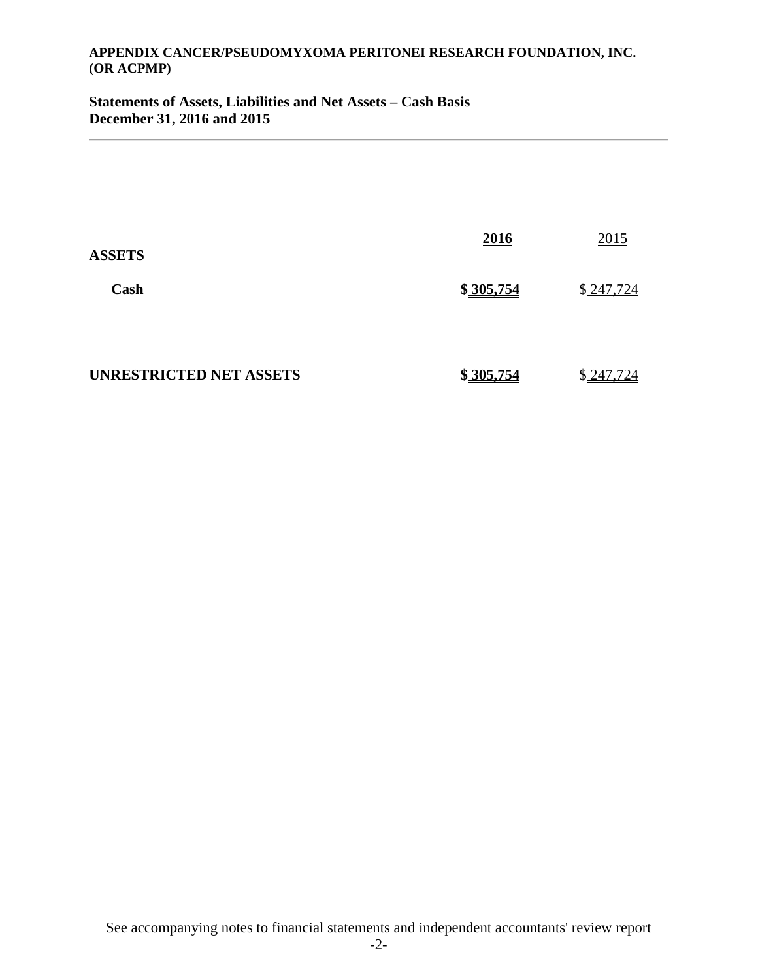**Statements of Assets, Liabilities and Net Assets – Cash Basis December 31, 2016 and 2015** 

| <b>ASSETS</b>                  | 2016      | 2015      |
|--------------------------------|-----------|-----------|
| Cash                           | \$305,754 | \$247,724 |
| <b>UNRESTRICTED NET ASSETS</b> | \$305,754 | \$247,724 |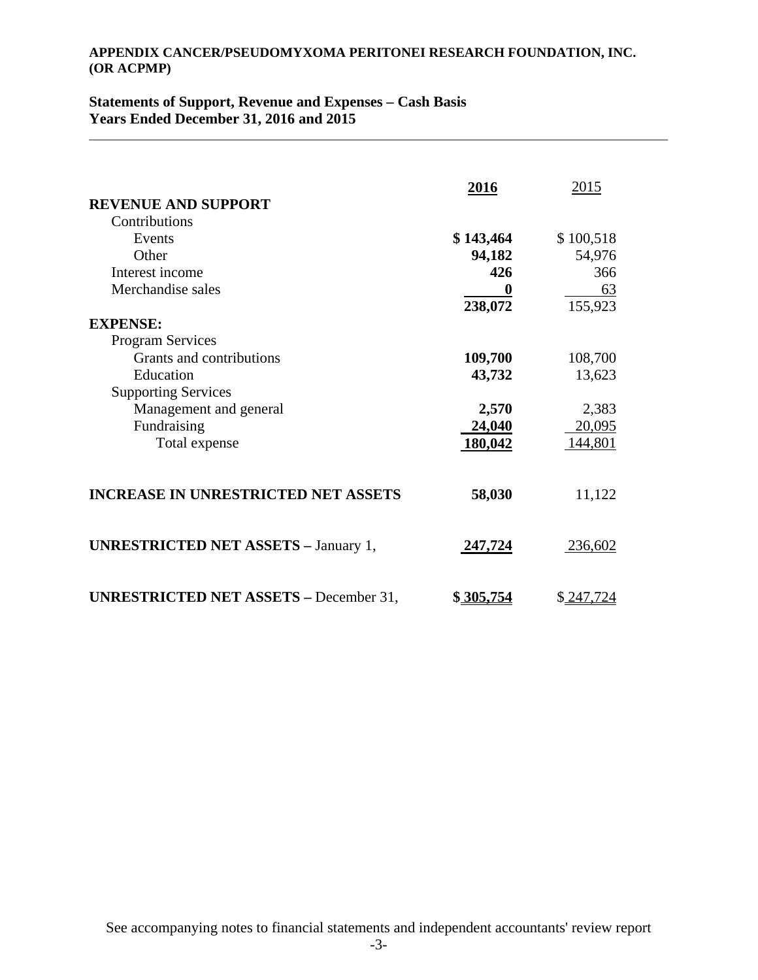# **Statements of Support, Revenue and Expenses – Cash Basis Years Ended December 31, 2016 and 2015**

| <b>REVENUE AND SUPPORT</b>                    | 2016      | 2015      |
|-----------------------------------------------|-----------|-----------|
| Contributions                                 |           |           |
| Events                                        | \$143,464 | \$100,518 |
| Other                                         | 94,182    | 54,976    |
| Interest income                               | 426       | 366       |
| Merchandise sales                             | 0         | 63        |
|                                               | 238,072   | 155,923   |
| <b>EXPENSE:</b>                               |           |           |
| <b>Program Services</b>                       |           |           |
| Grants and contributions                      | 109,700   | 108,700   |
| Education                                     | 43,732    | 13,623    |
| <b>Supporting Services</b>                    |           |           |
| Management and general                        | 2,570     | 2,383     |
| Fundraising                                   | 24,040    | 20,095    |
| Total expense                                 | 180,042   | 144,801   |
| <b>INCREASE IN UNRESTRICTED NET ASSETS</b>    | 58,030    | 11,122    |
| <b>UNRESTRICTED NET ASSETS - January 1,</b>   | 247,724   | 236,602   |
| <b>UNRESTRICTED NET ASSETS - December 31,</b> | \$305,754 | \$247,724 |

See accompanying notes to financial statements and independent accountants' review report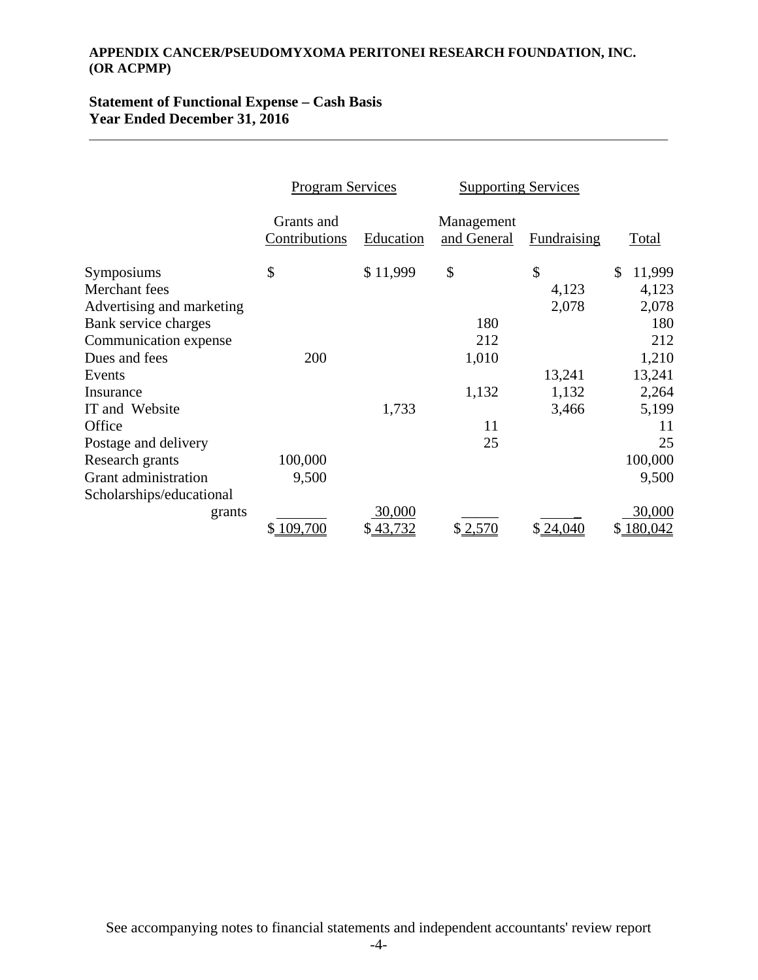# **Statement of Functional Expense – Cash Basis Year Ended December 31, 2016**

|                           | <b>Program Services</b>     |           | <b>Supporting Services</b> |                    |               |
|---------------------------|-----------------------------|-----------|----------------------------|--------------------|---------------|
|                           | Grants and<br>Contributions | Education | Management<br>and General  | <b>Fundraising</b> | Total         |
| Symposiums                | \$                          | \$11,999  | \$                         | \$                 | 11,999<br>\$  |
| Merchant fees             |                             |           |                            | 4,123              | 4,123         |
| Advertising and marketing |                             |           |                            | 2,078              | 2,078         |
| Bank service charges      |                             |           | 180                        |                    | 180           |
| Communication expense     |                             |           | 212                        |                    | 212           |
| Dues and fees             | 200                         |           | 1,010                      |                    | 1,210         |
| Events                    |                             |           |                            | 13,241             | 13,241        |
| Insurance                 |                             |           | 1,132                      | 1,132              | 2,264         |
| IT and Website            |                             | 1,733     |                            | 3,466              | 5,199         |
| Office                    |                             |           | 11                         |                    | 11            |
| Postage and delivery      |                             |           | 25                         |                    | 25            |
| Research grants           | 100,000                     |           |                            |                    | 100,000       |
| Grant administration      | 9,500                       |           |                            |                    | 9,500         |
| Scholarships/educational  |                             |           |                            |                    |               |
| grants                    |                             | 30,000    |                            |                    | 30,000        |
|                           | 109,700<br>\$               | \$43,732  | \$2,570                    | \$24,040           | 180,042<br>\$ |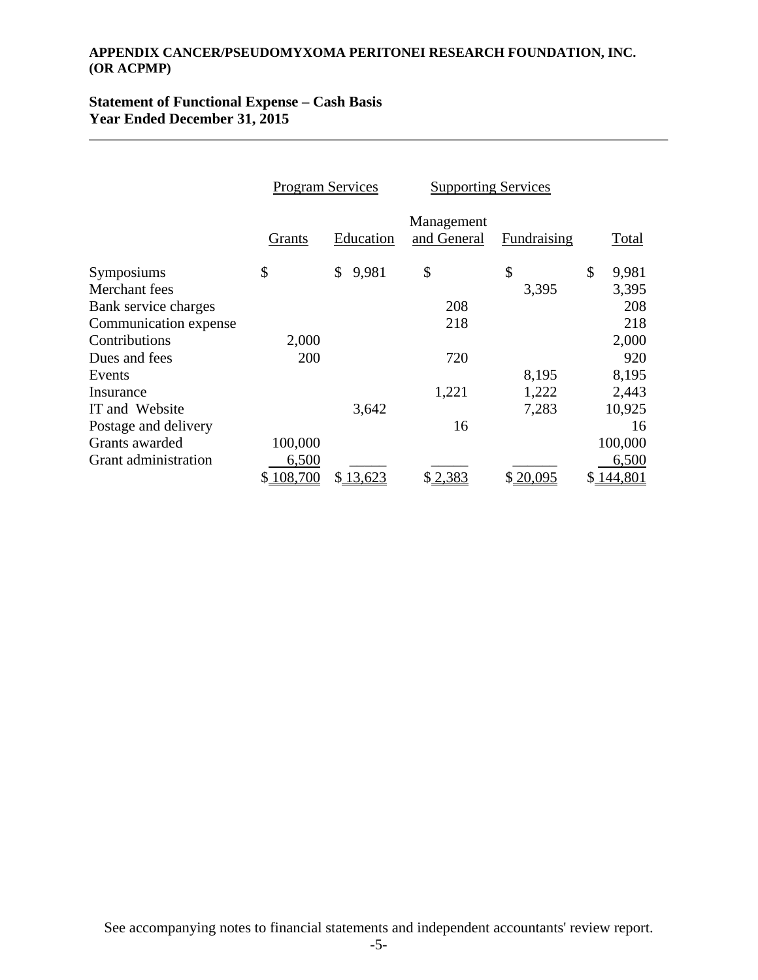# **Statement of Functional Expense – Cash Basis Year Ended December 31, 2015**

|                       | <b>Program Services</b> |             | <b>Supporting Services</b> |             |               |
|-----------------------|-------------------------|-------------|----------------------------|-------------|---------------|
|                       | Grants                  | Education   | Management<br>and General  | Fundraising | Total         |
| Symposiums            | \$                      | 9,981<br>\$ | \$                         | \$          | \$<br>9,981   |
| Merchant fees         |                         |             |                            | 3,395       | 3,395         |
| Bank service charges  |                         |             | 208                        |             | 208           |
| Communication expense |                         |             | 218                        |             | 218           |
| Contributions         | 2,000                   |             |                            |             | 2,000         |
| Dues and fees         | 200                     |             | 720                        |             | 920           |
| Events                |                         |             |                            | 8,195       | 8,195         |
| Insurance             |                         |             | 1,221                      | 1,222       | 2,443         |
| IT and Website        |                         | 3,642       |                            | 7,283       | 10,925        |
| Postage and delivery  |                         |             | 16                         |             | 16            |
| Grants awarded        | 100,000                 |             |                            |             | 100,000       |
| Grant administration  | 6,500                   |             |                            |             | 6,500         |
|                       | 108,700<br>\$           | \$13,623    | \$2,383                    | \$20,095    | \$<br>144,801 |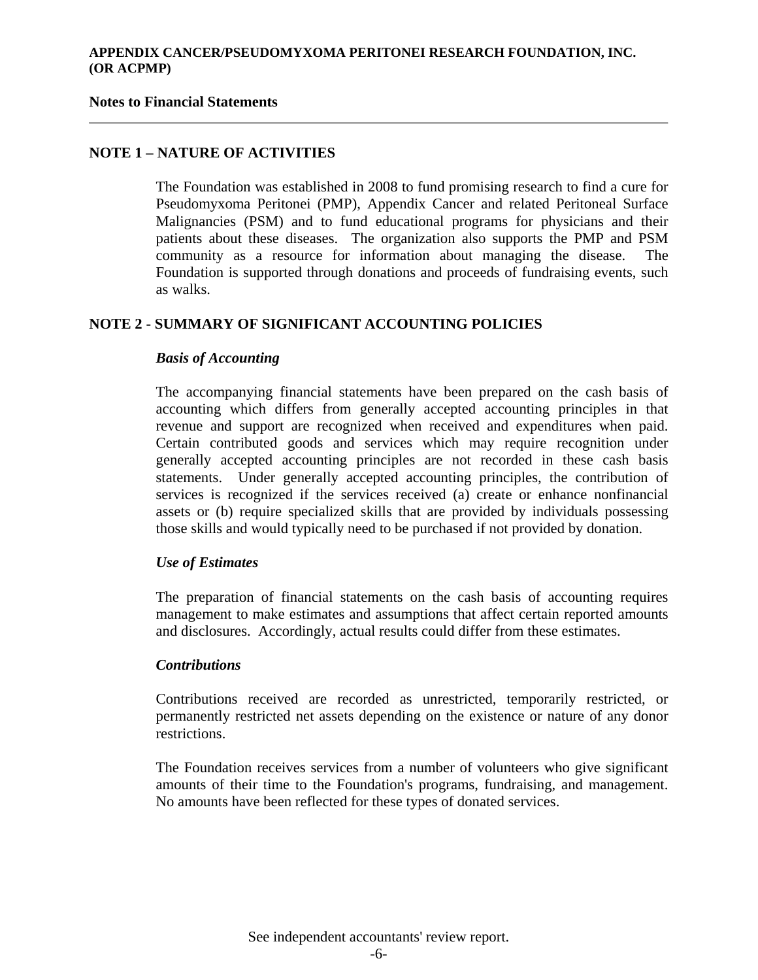#### **Notes to Financial Statements**

## **NOTE 1 – NATURE OF ACTIVITIES**

The Foundation was established in 2008 to fund promising research to find a cure for Pseudomyxoma Peritonei (PMP), Appendix Cancer and related Peritoneal Surface Malignancies (PSM) and to fund educational programs for physicians and their patients about these diseases. The organization also supports the PMP and PSM community as a resource for information about managing the disease. The Foundation is supported through donations and proceeds of fundraising events, such as walks.

# **NOTE 2 - SUMMARY OF SIGNIFICANT ACCOUNTING POLICIES**

## *Basis of Accounting*

The accompanying financial statements have been prepared on the cash basis of accounting which differs from generally accepted accounting principles in that revenue and support are recognized when received and expenditures when paid. Certain contributed goods and services which may require recognition under generally accepted accounting principles are not recorded in these cash basis statements. Under generally accepted accounting principles, the contribution of services is recognized if the services received (a) create or enhance nonfinancial assets or (b) require specialized skills that are provided by individuals possessing those skills and would typically need to be purchased if not provided by donation.

#### *Use of Estimates*

The preparation of financial statements on the cash basis of accounting requires management to make estimates and assumptions that affect certain reported amounts and disclosures. Accordingly, actual results could differ from these estimates.

#### *Contributions*

Contributions received are recorded as unrestricted, temporarily restricted, or permanently restricted net assets depending on the existence or nature of any donor restrictions.

The Foundation receives services from a number of volunteers who give significant amounts of their time to the Foundation's programs, fundraising, and management. No amounts have been reflected for these types of donated services.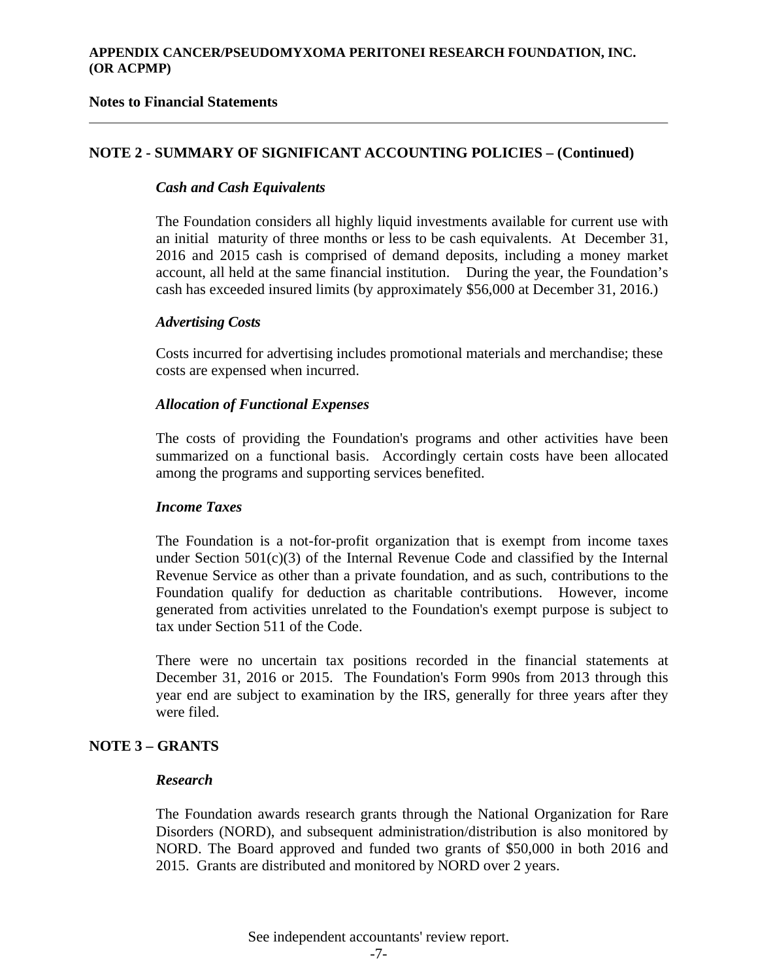## **Notes to Financial Statements**

## **NOTE 2 - SUMMARY OF SIGNIFICANT ACCOUNTING POLICIES – (Continued)**

#### *Cash and Cash Equivalents*

The Foundation considers all highly liquid investments available for current use with an initial maturity of three months or less to be cash equivalents. At December 31, 2016 and 2015 cash is comprised of demand deposits, including a money market account, all held at the same financial institution. During the year, the Foundation's cash has exceeded insured limits (by approximately \$56,000 at December 31, 2016.)

## *Advertising Costs*

 Costs incurred for advertising includes promotional materials and merchandise; these costs are expensed when incurred.

#### *Allocation of Functional Expenses*

The costs of providing the Foundation's programs and other activities have been summarized on a functional basis. Accordingly certain costs have been allocated among the programs and supporting services benefited.

#### *Income Taxes*

The Foundation is a not-for-profit organization that is exempt from income taxes under Section  $501(c)(3)$  of the Internal Revenue Code and classified by the Internal Revenue Service as other than a private foundation, and as such, contributions to the Foundation qualify for deduction as charitable contributions. However, income generated from activities unrelated to the Foundation's exempt purpose is subject to tax under Section 511 of the Code.

There were no uncertain tax positions recorded in the financial statements at December 31, 2016 or 2015. The Foundation's Form 990s from 2013 through this year end are subject to examination by the IRS, generally for three years after they were filed.

## **NOTE 3 – GRANTS**

#### *Research*

The Foundation awards research grants through the National Organization for Rare Disorders (NORD), and subsequent administration/distribution is also monitored by NORD. The Board approved and funded two grants of \$50,000 in both 2016 and 2015. Grants are distributed and monitored by NORD over 2 years.